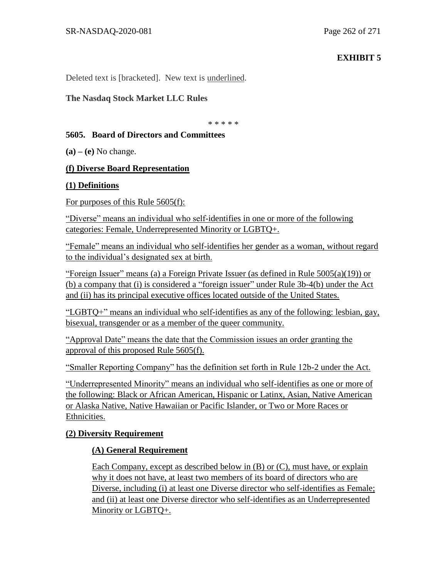## **EXHIBIT 5**

Deleted text is [bracketed]. New text is underlined.

#### **The Nasdaq Stock Market LLC Rules**

\* \* \* \* \*

#### **5605. Board of Directors and Committees**

**(a) – (e)** No change.

#### **(f) Diverse Board Representation**

#### **(1) Definitions**

For purposes of this Rule 5605(f):

"Diverse" means an individual who self-identifies in one or more of the following categories: Female, Underrepresented Minority or LGBTQ+.

"Female" means an individual who self-identifies her gender as a woman, without regard to the individual's designated sex at birth.

"Foreign Issuer" means (a) a Foreign Private Issuer (as defined in Rule 5005(a)(19)) or (b) a company that (i) is considered a "foreign issuer" under Rule 3b-4(b) under the Act and (ii) has its principal executive offices located outside of the United States.

"LGBTQ+" means an individual who self-identifies as any of the following: lesbian, gay, bisexual, transgender or as a member of the queer community.

"Approval Date" means the date that the Commission issues an order granting the approval of this proposed Rule 5605(f).

"Smaller Reporting Company" has the definition set forth in Rule 12b-2 under the Act.

"Underrepresented Minority" means an individual who self-identifies as one or more of the following: Black or African American, Hispanic or Latinx, Asian, Native American or Alaska Native, Native Hawaiian or Pacific Islander, or Two or More Races or Ethnicities.

## **(2) Diversity Requirement**

## **(A) General Requirement**

Each Company, except as described below in (B) or (C), must have, or explain why it does not have, at least two members of its board of directors who are Diverse, including (i) at least one Diverse director who self-identifies as Female; and (ii) at least one Diverse director who self-identifies as an Underrepresented Minority or LGBTQ+.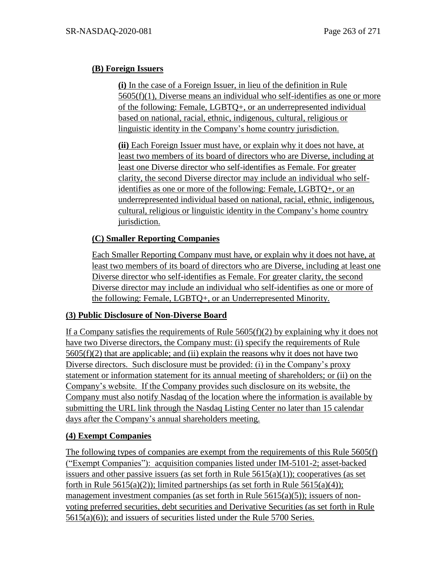# **(B) Foreign Issuers**

**(i)** In the case of a Foreign Issuer, in lieu of the definition in Rule 5605(f)(1), Diverse means an individual who self-identifies as one or more of the following: Female, LGBTQ+, or an underrepresented individual based on national, racial, ethnic, indigenous, cultural, religious or linguistic identity in the Company's home country jurisdiction.

**(ii)** Each Foreign Issuer must have, or explain why it does not have, at least two members of its board of directors who are Diverse, including at least one Diverse director who self-identifies as Female. For greater clarity, the second Diverse director may include an individual who selfidentifies as one or more of the following: Female, LGBTQ+, or an underrepresented individual based on national, racial, ethnic, indigenous, cultural, religious or linguistic identity in the Company's home country jurisdiction.

# **(C) Smaller Reporting Companies**

Each Smaller Reporting Company must have, or explain why it does not have, at least two members of its board of directors who are Diverse, including at least one Diverse director who self-identifies as Female. For greater clarity, the second Diverse director may include an individual who self-identifies as one or more of the following: Female, LGBTQ+, or an Underrepresented Minority.

## **(3) Public Disclosure of Non-Diverse Board**

If a Company satisfies the requirements of Rule  $5605(f)(2)$  by explaining why it does not have two Diverse directors, the Company must: (i) specify the requirements of Rule  $5605(f)(2)$  that are applicable; and (ii) explain the reasons why it does not have two Diverse directors. Such disclosure must be provided: (i) in the Company's proxy statement or information statement for its annual meeting of shareholders; or (ii) on the Company's website. If the Company provides such disclosure on its website, the Company must also notify Nasdaq of the location where the information is available by submitting the URL link through the Nasdaq Listing Center no later than 15 calendar days after the Company's annual shareholders meeting.

## **(4) Exempt Companies**

The following types of companies are exempt from the requirements of this Rule 5605(f) ("Exempt Companies"): acquisition companies listed under IM-5101-2; asset-backed issuers and other passive issuers (as set forth in Rule  $5615(a)(1)$ ); cooperatives (as set forth in Rule  $5615(a)(2)$ ; limited partnerships (as set forth in Rule  $5615(a)(4)$ ); management investment companies (as set forth in Rule  $5615(a)(5)$ ); issuers of nonvoting preferred securities, debt securities and Derivative Securities (as set forth in Rule 5615(a)(6)); and issuers of securities listed under the Rule 5700 Series.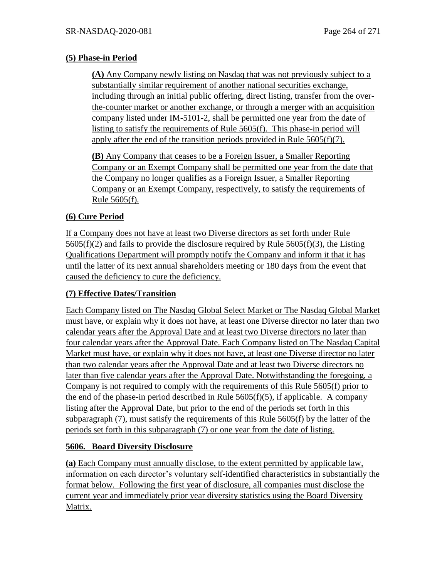#### **(5) Phase-in Period**

**(A)** Any Company newly listing on Nasdaq that was not previously subject to a substantially similar requirement of another national securities exchange, including through an initial public offering, direct listing, transfer from the overthe-counter market or another exchange, or through a merger with an acquisition company listed under IM-5101-2, shall be permitted one year from the date of listing to satisfy the requirements of Rule 5605(f). This phase-in period will apply after the end of the transition periods provided in Rule  $5605(f)(7)$ .

**(B)** Any Company that ceases to be a Foreign Issuer, a Smaller Reporting Company or an Exempt Company shall be permitted one year from the date that the Company no longer qualifies as a Foreign Issuer, a Smaller Reporting Company or an Exempt Company, respectively, to satisfy the requirements of Rule 5605(f).

# **(6) Cure Period**

If a Company does not have at least two Diverse directors as set forth under Rule  $5605(f)(2)$  and fails to provide the disclosure required by Rule  $5605(f)(3)$ , the Listing Qualifications Department will promptly notify the Company and inform it that it has until the latter of its next annual shareholders meeting or 180 days from the event that caused the deficiency to cure the deficiency.

## **(7) Effective Dates/Transition**

Each Company listed on The Nasdaq Global Select Market or The Nasdaq Global Market must have, or explain why it does not have, at least one Diverse director no later than two calendar years after the Approval Date and at least two Diverse directors no later than four calendar years after the Approval Date. Each Company listed on The Nasdaq Capital Market must have, or explain why it does not have, at least one Diverse director no later than two calendar years after the Approval Date and at least two Diverse directors no later than five calendar years after the Approval Date. Notwithstanding the foregoing, a Company is not required to comply with the requirements of this Rule 5605(f) prior to the end of the phase-in period described in Rule  $5605(f)(5)$ , if applicable. A company listing after the Approval Date, but prior to the end of the periods set forth in this subparagraph (7), must satisfy the requirements of this Rule 5605(f) by the latter of the periods set forth in this subparagraph (7) or one year from the date of listing.

## **5606. Board Diversity Disclosure**

**(a)** Each Company must annually disclose, to the extent permitted by applicable law, information on each director's voluntary self-identified characteristics in substantially the format below. Following the first year of disclosure, all companies must disclose the current year and immediately prior year diversity statistics using the Board Diversity Matrix.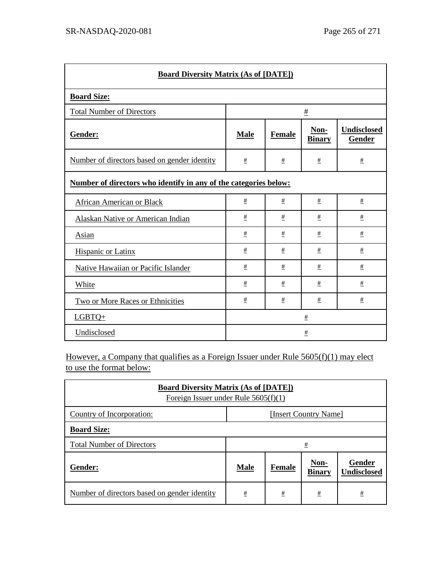| <b>Board Diversity Matrix (As of [DATE])</b>                     |             |        |                       |                              |  |  |
|------------------------------------------------------------------|-------------|--------|-----------------------|------------------------------|--|--|
| <b>Board Size:</b>                                               |             |        |                       |                              |  |  |
| <b>Total Number of Directors</b>                                 | $\pm$       |        |                       |                              |  |  |
| Gender:                                                          | <b>Male</b> | Female | Non-<br><b>Binary</b> | <b>Undisclosed</b><br>Gender |  |  |
| Number of directors based on gender identity                     | $\pm$       | $\pm$  | $\pm$                 | $\pm$                        |  |  |
| Number of directors who identify in any of the categories below: |             |        |                       |                              |  |  |
| African American or Black                                        | $\pm$       | $\pm$  | $\pm$                 | $\pm$                        |  |  |
| Alaskan Native or American Indian                                | $\pm$       | $\pm$  | $\pm$                 | $\pm$                        |  |  |
| Asian                                                            | #           | #      | $\pm$                 | $\pm$                        |  |  |
| <b>Hispanic or Latinx</b>                                        | $\pm$       | $\#$   | $\pm$                 | $\pm$                        |  |  |
| Native Hawaiian or Pacific Islander                              | #           | #      | $\pm$                 | $\pm$                        |  |  |
| White                                                            | $\pm$       | $\pm$  | $\pm$                 | $\pm$                        |  |  |
| Two or More Races or Ethnicities                                 | #           | $\pm$  | $\pm$                 | $\pm$                        |  |  |
| LGBTQ+                                                           |             |        | $\pm$                 |                              |  |  |
| Undisclosed                                                      |             |        | $\pm$                 |                              |  |  |

However, a Company that qualifies as a Foreign Issuer under Rule 5605(f)(1) may elect to use the format below:

| <b>Board Diversity Matrix (As of [DATE])</b><br>Foreign Issuer under Rule $5605(f)(1)$ |                       |        |                       |                              |  |
|----------------------------------------------------------------------------------------|-----------------------|--------|-----------------------|------------------------------|--|
| Country of Incorporation:                                                              | [Insert Country Name] |        |                       |                              |  |
| <b>Board Size:</b>                                                                     |                       |        |                       |                              |  |
| <b>Total Number of Directors</b>                                                       | <u>#</u>              |        |                       |                              |  |
| Gender:                                                                                | <b>Male</b>           | Female | Non-<br><b>Binary</b> | Gender<br><b>Undisclosed</b> |  |
| Number of directors based on gender identity                                           | #                     | #      | #                     | #                            |  |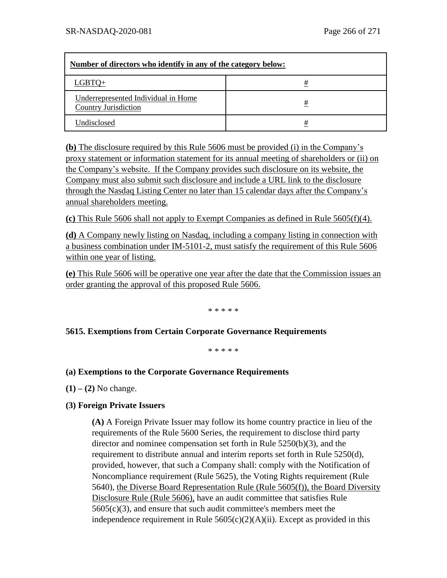| Number of directors who identify in any of the category below:     |   |  |  |  |
|--------------------------------------------------------------------|---|--|--|--|
| LGBTO+                                                             | # |  |  |  |
| Underrepresented Individual in Home<br><b>Country Jurisdiction</b> | # |  |  |  |
| Undisclosed                                                        | # |  |  |  |

**(b)** The disclosure required by this Rule 5606 must be provided (i) in the Company's proxy statement or information statement for its annual meeting of shareholders or (ii) on the Company's website. If the Company provides such disclosure on its website, the Company must also submit such disclosure and include a URL link to the disclosure through the Nasdaq Listing Center no later than 15 calendar days after the Company's annual shareholders meeting.

**(c)** This Rule 5606 shall not apply to Exempt Companies as defined in Rule 5605(f)(4).

**(d)** A Company newly listing on Nasdaq, including a company listing in connection with a business combination under IM-5101-2, must satisfy the requirement of this Rule 5606 within one year of listing.

**(e)** This Rule 5606 will be operative one year after the date that the Commission issues an order granting the approval of this proposed Rule 5606.

\* \* \* \* \*

#### **5615. Exemptions from Certain Corporate Governance Requirements**

\* \* \* \* \*

#### **(a) Exemptions to the Corporate Governance Requirements**

**(1) – (2)** No change.

#### **(3) Foreign Private Issuers**

**(A)** A Foreign Private Issuer may follow its home country practice in lieu of the requirements of the Rule 5600 Series, the requirement to disclose third party director and nominee compensation set forth in Rule 5250(b)(3), and the requirement to distribute annual and interim reports set forth in Rule 5250(d), provided, however, that such a Company shall: comply with the Notification of Noncompliance requirement (Rule 5625), the Voting Rights requirement (Rule 5640), the Diverse Board Representation Rule (Rule 5605(f)), the Board Diversity Disclosure Rule (Rule 5606), have an audit committee that satisfies Rule 5605(c)(3), and ensure that such audit committee's members meet the independence requirement in Rule  $5605(c)(2)(A)(ii)$ . Except as provided in this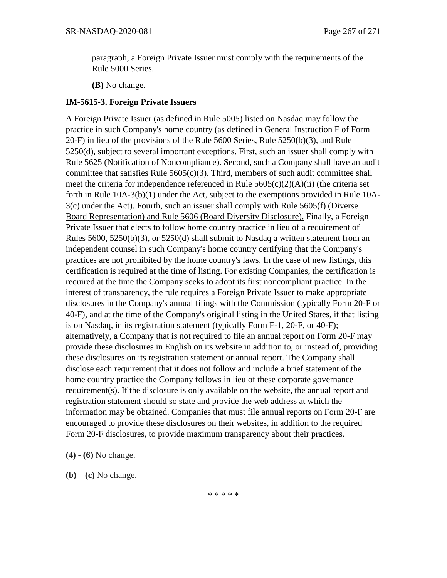paragraph, a Foreign Private Issuer must comply with the requirements of the Rule 5000 Series.

**(B)** No change.

#### **IM-5615-3. Foreign Private Issuers**

A Foreign Private Issuer (as defined in Rule 5005) listed on Nasdaq may follow the practice in such Company's home country (as defined in General Instruction F of Form 20-F) in lieu of the provisions of the Rule 5600 Series, Rule 5250(b)(3), and Rule 5250(d), subject to several important exceptions. First, such an issuer shall comply with Rule 5625 (Notification of Noncompliance). Second, such a Company shall have an audit committee that satisfies Rule  $5605(c)(3)$ . Third, members of such audit committee shall meet the criteria for independence referenced in Rule  $5605(c)(2)(A)(ii)$  (the criteria set forth in Rule 10A-3(b)(1) under the Act, subject to the exemptions provided in Rule 10A-3(c) under the Act). Fourth, such an issuer shall comply with Rule 5605(f) (Diverse Board Representation) and Rule 5606 (Board Diversity Disclosure). Finally, a Foreign Private Issuer that elects to follow home country practice in lieu of a requirement of Rules  $5600$ ,  $5250(b)(3)$ , or  $5250(d)$  shall submit to Nasdaq a written statement from an independent counsel in such Company's home country certifying that the Company's practices are not prohibited by the home country's laws. In the case of new listings, this certification is required at the time of listing. For existing Companies, the certification is required at the time the Company seeks to adopt its first noncompliant practice. In the interest of transparency, the rule requires a Foreign Private Issuer to make appropriate disclosures in the Company's annual filings with the Commission (typically Form 20-F or 40-F), and at the time of the Company's original listing in the United States, if that listing is on Nasdaq, in its registration statement (typically Form F-1, 20-F, or 40-F); alternatively, a Company that is not required to file an annual report on Form 20-F may provide these disclosures in English on its website in addition to, or instead of, providing these disclosures on its registration statement or annual report. The Company shall disclose each requirement that it does not follow and include a brief statement of the home country practice the Company follows in lieu of these corporate governance requirement(s). If the disclosure is only available on the website, the annual report and registration statement should so state and provide the web address at which the information may be obtained. Companies that must file annual reports on Form 20-F are encouraged to provide these disclosures on their websites, in addition to the required Form 20-F disclosures, to provide maximum transparency about their practices.

**(4) - (6)** No change.

**(b) – (c)** No change.

\* \* \* \* \*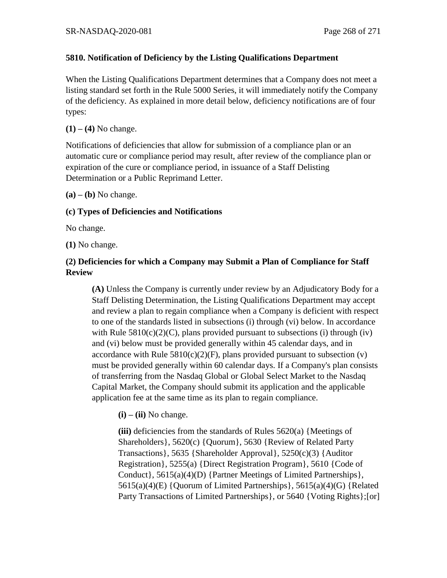## **5810. Notification of Deficiency by the Listing Qualifications Department**

When the Listing Qualifications Department determines that a Company does not meet a listing standard set forth in the Rule 5000 Series, it will immediately notify the Company of the deficiency. As explained in more detail below, deficiency notifications are of four types:

#### **(1) – (4)** No change.

Notifications of deficiencies that allow for submission of a compliance plan or an automatic cure or compliance period may result, after review of the compliance plan or expiration of the cure or compliance period, in issuance of a Staff Delisting Determination or a Public Reprimand Letter.

 $(a) - (b)$  No change.

## **(c) Types of Deficiencies and Notifications**

No change.

**(1)** No change.

# **(2) Deficiencies for which a Company may Submit a Plan of Compliance for Staff Review**

**(A)** Unless the Company is currently under review by an Adjudicatory Body for a Staff Delisting Determination, the Listing Qualifications Department may accept and review a plan to regain compliance when a Company is deficient with respect to one of the standards listed in subsections (i) through (vi) below. In accordance with Rule  $5810(c)(2)(C)$ , plans provided pursuant to subsections (i) through (iv) and (vi) below must be provided generally within 45 calendar days, and in accordance with Rule  $5810(c)(2)(F)$ , plans provided pursuant to subsection (v) must be provided generally within 60 calendar days. If a Company's plan consists of transferring from the Nasdaq Global or Global Select Market to the Nasdaq Capital Market, the Company should submit its application and the applicable application fee at the same time as its plan to regain compliance.

 $(i)$  –  $(ii)$  No change.

**(iii)** deficiencies from the standards of Rules 5620(a) {Meetings of Shareholders}, 5620(c) {Quorum}, 5630 {Review of Related Party Transactions}, 5635 {Shareholder Approval}, 5250(c)(3) {Auditor Registration}, 5255(a) {Direct Registration Program}, 5610 {Code of Conduct}, 5615(a)(4)(D) {Partner Meetings of Limited Partnerships}, 5615(a)(4)(E) {Quorum of Limited Partnerships}, 5615(a)(4)(G) {Related Party Transactions of Limited Partnerships}, or 5640 {Voting Rights}; [or]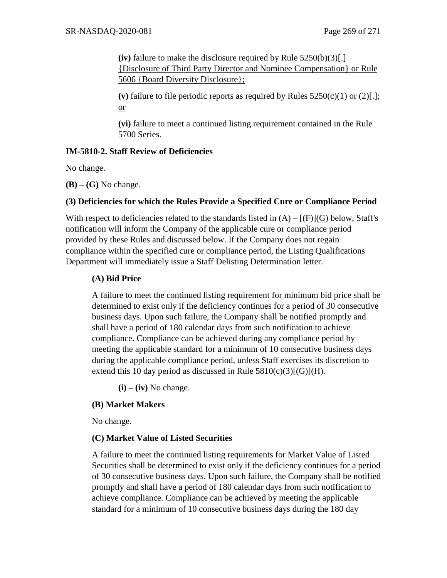**(iv)** failure to make the disclosure required by Rule 5250(b)(3)[.] {Disclosure of Third Party Director and Nominee Compensation} or Rule 5606 {Board Diversity Disclosure};

(v) failure to file periodic reports as required by Rules  $5250(c)(1)$  or  $(2)[.]$ ; or

**(vi)** failure to meet a continued listing requirement contained in the Rule 5700 Series.

#### **IM-5810-2. Staff Review of Deficiencies**

No change.

**(B) – (G)** No change.

#### **(3) Deficiencies for which the Rules Provide a Specified Cure or Compliance Period**

With respect to deficiencies related to the standards listed in  $(A) - [(F)](G)$  below, Staff's notification will inform the Company of the applicable cure or compliance period provided by these Rules and discussed below. If the Company does not regain compliance within the specified cure or compliance period, the Listing Qualifications Department will immediately issue a Staff Delisting Determination letter.

#### **(A) Bid Price**

A failure to meet the continued listing requirement for minimum bid price shall be determined to exist only if the deficiency continues for a period of 30 consecutive business days. Upon such failure, the Company shall be notified promptly and shall have a period of 180 calendar days from such notification to achieve compliance. Compliance can be achieved during any compliance period by meeting the applicable standard for a minimum of 10 consecutive business days during the applicable compliance period, unless Staff exercises its discretion to extend this 10 day period as discussed in Rule  $5810(c)(3)[(G)](H)$ .

**(i) – (iv)** No change.

## **(B) Market Makers**

No change.

## **(C) Market Value of Listed Securities**

A failure to meet the continued listing requirements for Market Value of Listed Securities shall be determined to exist only if the deficiency continues for a period of 30 consecutive business days. Upon such failure, the Company shall be notified promptly and shall have a period of 180 calendar days from such notification to achieve compliance. Compliance can be achieved by meeting the applicable standard for a minimum of 10 consecutive business days during the 180 day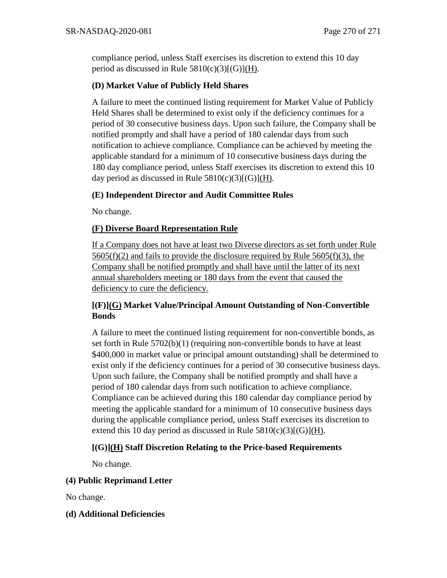compliance period, unless Staff exercises its discretion to extend this 10 day period as discussed in Rule  $5810(c)(3)[(G)](H)$ .

## **(D) Market Value of Publicly Held Shares**

A failure to meet the continued listing requirement for Market Value of Publicly Held Shares shall be determined to exist only if the deficiency continues for a period of 30 consecutive business days. Upon such failure, the Company shall be notified promptly and shall have a period of 180 calendar days from such notification to achieve compliance. Compliance can be achieved by meeting the applicable standard for a minimum of 10 consecutive business days during the 180 day compliance period, unless Staff exercises its discretion to extend this 10 day period as discussed in Rule  $5810(c)(3)[(G)](H)$ .

## **(E) Independent Director and Audit Committee Rules**

No change.

## **(F) Diverse Board Representation Rule**

If a Company does not have at least two Diverse directors as set forth under Rule  $5605(f)(2)$  and fails to provide the disclosure required by Rule  $5605(f)(3)$ , the Company shall be notified promptly and shall have until the latter of its next annual shareholders meeting or 180 days from the event that caused the deficiency to cure the deficiency.

# **[(F)](G) Market Value/Principal Amount Outstanding of Non-Convertible Bonds**

A failure to meet the continued listing requirement for non-convertible bonds, as set forth in Rule 5702(b)(1) (requiring non-convertible bonds to have at least \$400,000 in market value or principal amount outstanding) shall be determined to exist only if the deficiency continues for a period of 30 consecutive business days. Upon such failure, the Company shall be notified promptly and shall have a period of 180 calendar days from such notification to achieve compliance. Compliance can be achieved during this 180 calendar day compliance period by meeting the applicable standard for a minimum of 10 consecutive business days during the applicable compliance period, unless Staff exercises its discretion to extend this 10 day period as discussed in Rule  $5810(c)(3)[(G)](H)$ .

## **[(G)](H) Staff Discretion Relating to the Price-based Requirements**

No change.

## **(4) Public Reprimand Letter**

No change.

## **(d) Additional Deficiencies**